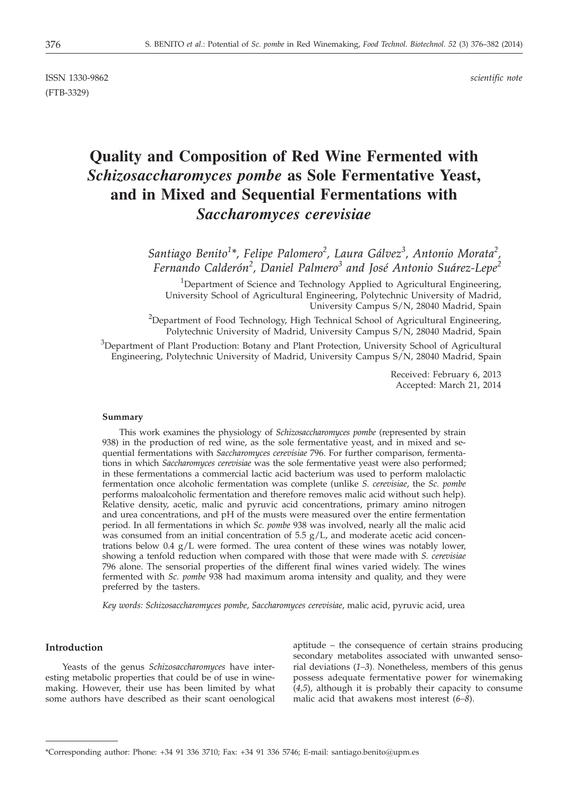ISSN 1330-9862 *scientific note* (FTB-3329)

# **Quality and Composition of Red Wine Fermented with** *Schizosaccharomyces pombe* **as Sole Fermentative Yeast, and in Mixed and Sequential Fermentations with** *Saccharomyces cerevisiae*

*Santiago Benito<sup>1</sup> \*, Felipe Palomero<sup>2</sup> , Laura Gálvez<sup>3</sup> , Antonio Morata<sup>2</sup> , Fernando Calderón<sup>2</sup> , Daniel Palmero<sup>3</sup> and José Antonio Suárez-Lepe<sup>2</sup>*

<sup>1</sup>Department of Science and Technology Applied to Agricultural Engineering, University School of Agricultural Engineering, Polytechnic University of Madrid, University Campus S/N, 28040 Madrid, Spain

<sup>2</sup>Department of Food Technology, High Technical School of Agricultural Engineering, Polytechnic University of Madrid, University Campus S/N, 28040 Madrid, Spain

<sup>3</sup>Department of Plant Production: Botany and Plant Protection, University School of Agricultural Engineering, Polytechnic University of Madrid, University Campus S/N, 28040 Madrid, Spain

> Received: February 6, 2013 Accepted: March 21, 2014

#### **Summary**

This work examines the physiology of *Schizosaccharomyces pombe* (represented by strain 938) in the production of red wine, as the sole fermentative yeast, and in mixed and sequential fermentations with *Saccharomyces cerevisiae* 796. For further comparison, fermentations in which *Saccharomyces cerevisiae* was the sole fermentative yeast were also performed; in these fermentations a commercial lactic acid bacterium was used to perform malolactic fermentation once alcoholic fermentation was complete (unlike *S. cerevisiae*, the *Sc. pombe* performs maloalcoholic fermentation and therefore removes malic acid without such help). Relative density, acetic, malic and pyruvic acid concentrations, primary amino nitrogen and urea concentrations, and pH of the musts were measured over the entire fermentation period. In all fermentations in which *Sc. pombe* 938 was involved, nearly all the malic acid was consumed from an initial concentration of  $5.5$  g/L, and moderate acetic acid concentrations below  $0.4 \text{ g/L}$  were formed. The urea content of these wines was notably lower, showing a tenfold reduction when compared with those that were made with *S. cerevisiae* 796 alone. The sensorial properties of the different final wines varied widely. The wines fermented with *Sc. pombe* 938 had maximum aroma intensity and quality, and they were preferred by the tasters.

*Key words: Schizosaccharomyces pombe*, *Saccharomyces cerevisiae*, malic acid, pyruvic acid, urea

## **Introduction**

Yeasts of the genus *Schizosaccharomyces* have interesting metabolic properties that could be of use in winemaking. However, their use has been limited by what some authors have described as their scant oenological

aptitude – the consequence of certain strains producing secondary metabolites associated with unwanted sensorial deviations (*1–3*). Nonetheless, members of this genus possess adequate fermentative power for winemaking (*4,5*), although it is probably their capacity to consume malic acid that awakens most interest (*6–8*).

<sup>\*</sup>Corresponding author: Phone: +34 91 336 3710; Fax: +34 91 336 5746; E-mail: santiago.benito@upm.es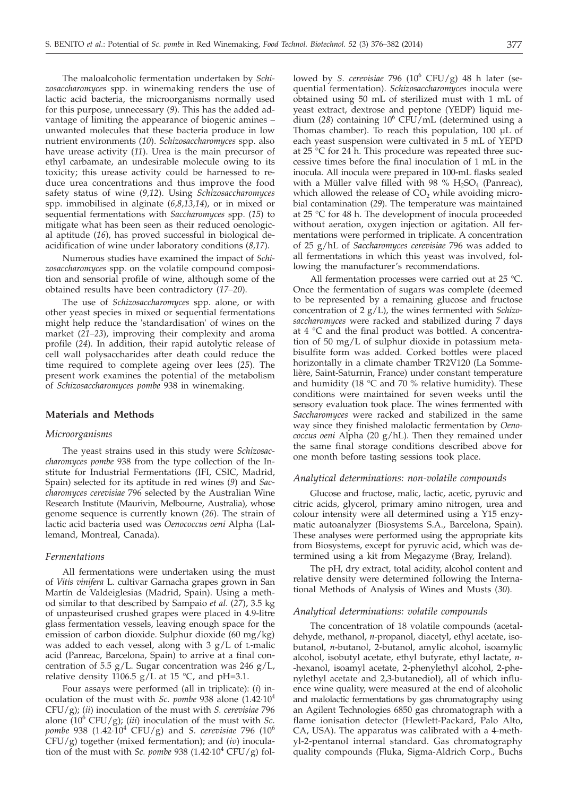The maloalcoholic fermentation undertaken by *Schizosaccharomyces* spp. in winemaking renders the use of lactic acid bacteria, the microorganisms normally used for this purpose, unnecessary (*9*). This has the added advantage of limiting the appearance of biogenic amines – unwanted molecules that these bacteria produce in low nutrient environments (*10*). *Schizosaccharomyces* spp. also have urease activity (*11*). Urea is the main precursor of ethyl carbamate, an undesirable molecule owing to its toxicity; this urease activity could be harnessed to reduce urea concentrations and thus improve the food safety status of wine (*9,12*). Using *Schizosaccharomyces* spp. immobilised in alginate (*6,8,13,14*), or in mixed or sequential fermentations with *Saccharomyces* spp. (*15*) to mitigate what has been seen as their reduced oenological aptitude (*16*), has proved successful in biological deacidification of wine under laboratory conditions (*8,17*).

Numerous studies have examined the impact of *Schizosaccharomyces* spp. on the volatile compound composition and sensorial profile of wine, although some of the obtained results have been contradictory (*17–20*).

The use of *Schizosaccharomyces* spp. alone, or with other yeast species in mixed or sequential fermentations might help reduce the 'standardisation' of wines on the market (*21–23*), improving their complexity and aroma profile (*24*). In addition, their rapid autolytic release of cell wall polysaccharides after death could reduce the time required to complete ageing over lees (*25*). The present work examines the potential of the metabolism of *Schizosaccharomyces pombe* 938 in winemaking.

## **Materials and Methods**

#### *Microorganisms*

The yeast strains used in this study were *Schizosaccharomyces pombe* 938 from the type collection of the Institute for Industrial Fermentations (IFI, CSIC, Madrid, Spain) selected for its aptitude in red wines (*9*) and *Saccharomyces cerevisiae* 796 selected by the Australian Wine Research Institute (Maurivin, Melbourne, Australia), whose genome sequence is currently known (*26*). The strain of lactic acid bacteria used was *Oenococcus oeni* Alpha (Lallemand, Montreal, Canada).

## *Fermentations*

All fermentations were undertaken using the must of *Vitis vinifera* L. cultivar Garnacha grapes grown in San Martín de Valdeiglesias (Madrid, Spain). Using a method similar to that described by Sampaio *et al*. (*27*), 3.5 kg of unpasteurised crushed grapes were placed in 4.9-litre glass fermentation vessels, leaving enough space for the emission of carbon dioxide. Sulphur dioxide (60 mg/kg) was added to each vessel, along with  $3 g/L$  of L-malic acid (Panreac, Barcelona, Spain) to arrive at a final concentration of 5.5 g/L. Sugar concentration was 246 g/L, relative density 1106.5  $g/L$  at 15 °C, and pH=3.1.

Four assays were performed (all in triplicate): (*i*) inoculation of the must with *Sc. pombe* 938 alone (1.42·104 CFU/g); (*ii*) inoculation of the must with *S. cerevisiae* 796 alone (106 CFU/g); (*iii*) inoculation of the must with *Sc. pombe* 938 (1.42·10<sup>4</sup> CFU/g) and *S. cerevisiae* 796 (10<sup>6</sup> CFU/g) together (mixed fermentation); and (*iv*) inoculation of the must with *Sc. pombe* 938  $(1.42 \cdot 10^4 \text{ CFU/g})$  followed by *S. cerevisiae* 796 (10<sup>6</sup> CFU/g) 48 h later (sequential fermentation). *Schizosaccharomyces* inocula were obtained using 50 mL of sterilized must with 1 mL of yeast extract, dextrose and peptone (YEDP) liquid medium (*28*) containing 106 CFU/mL (determined using a Thomas chamber). To reach this population, 100 µL of each yeast suspension were cultivated in 5 mL of YEPD at 25 °C for 24 h. This procedure was repeated three successive times before the final inoculation of 1 mL in the inocula. All inocula were prepared in 100-mL flasks sealed with a Müller valve filled with 98 %  $H_2SO_4$  (Panreac), which allowed the release of  $CO<sub>2</sub>$  while avoiding microbial contamination (*29*). The temperature was maintained at 25 °C for 48 h. The development of inocula proceeded without aeration, oxygen injection or agitation. All fermentations were performed in triplicate. A concentration of 25 g/hL of *Saccharomyces cerevisiae* 796 was added to all fermentations in which this yeast was involved, following the manufacturer's recommendations.

All fermentation processes were carried out at 25 °C. Once the fermentation of sugars was complete (deemed to be represented by a remaining glucose and fructose concentration of 2 g/L), the wines fermented with *Schizosaccharomyces* were racked and stabilized during 7 days at 4 °C and the final product was bottled. A concentration of 50 mg/L of sulphur dioxide in potassium metabisulfite form was added. Corked bottles were placed horizontally in a climate chamber TR2V120 (La Sommelière, Saint-Saturnin, France) under constant temperature and humidity (18  $\degree$ C and 70 % relative humidity). These conditions were maintained for seven weeks until the sensory evaluation took place. The wines fermented with *Saccharomyces* were racked and stabilized in the same way since they finished malolactic fermentation by *Oenococcus oeni* Alpha (20 g/hL). Then they remained under the same final storage conditions described above for one month before tasting sessions took place.

#### *Analytical determinations: non-volatile compounds*

Glucose and fructose, malic, lactic, acetic, pyruvic and citric acids, glycerol, primary amino nitrogen, urea and colour intensity were all determined using a Y15 enzymatic autoanalyzer (Biosystems S.A., Barcelona, Spain). These analyses were performed using the appropriate kits from Biosystems, except for pyruvic acid, which was determined using a kit from Megazyme (Bray, Ireland).

The pH, dry extract, total acidity, alcohol content and relative density were determined following the International Methods of Analysis of Wines and Musts (*30*).

#### *Analytical determinations: volatile compounds*

The concentration of 18 volatile compounds (acetaldehyde, methanol, *n*-propanol, diacetyl, ethyl acetate, isobutanol, *n*-butanol, 2-butanol, amylic alcohol, isoamylic alcohol, isobutyl acetate, ethyl butyrate, ethyl lactate, *n*- -hexanol, isoamyl acetate, 2-phenylethyl alcohol, 2-phenylethyl acetate and 2,3-butanediol), all of which influence wine quality, were measured at the end of alcoholic and malolactic fermentations by gas chromatography using an Agilent Technologies 6850 gas chromatograph with a flame ionisation detector (Hewlett-Packard, Palo Alto, CA, USA). The apparatus was calibrated with a 4-methyl-2-pentanol internal standard. Gas chromatography quality compounds (Fluka, Sigma-Aldrich Corp., Buchs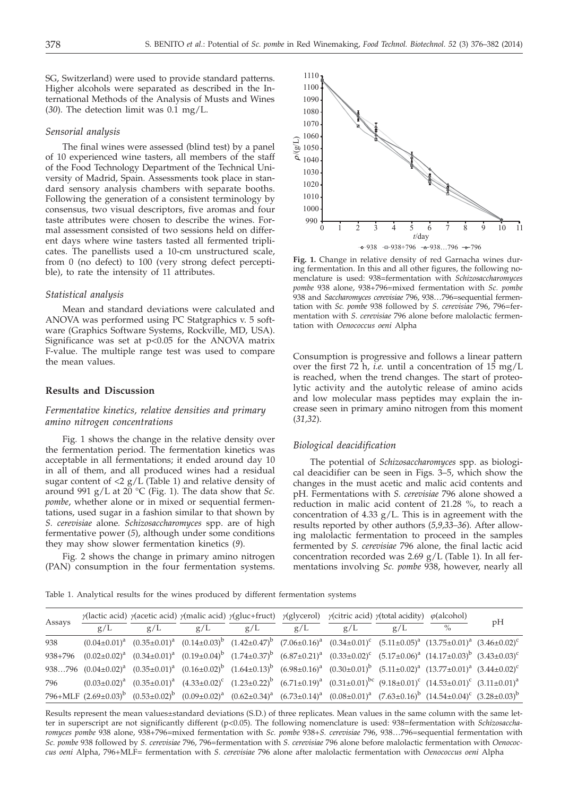SG, Switzerland) were used to provide standard patterns. Higher alcohols were separated as described in the International Methods of the Analysis of Musts and Wines (*30*). The detection limit was 0.1 mg/L.

## *Sensorial analysis*

The final wines were assessed (blind test) by a panel of 10 experienced wine tasters, all members of the staff of the Food Technology Department of the Technical University of Madrid, Spain. Assessments took place in standard sensory analysis chambers with separate booths. Following the generation of a consistent terminology by consensus, two visual descriptors, five aromas and four taste attributes were chosen to describe the wines. Formal assessment consisted of two sessions held on different days where wine tasters tasted all fermented triplicates. The panellists used a 10-cm unstructured scale, from 0 (no defect) to 100 (very strong defect perceptible), to rate the intensity of 11 attributes.

## *Statistical analysis*

Mean and standard deviations were calculated and ANOVA was performed using PC Statgraphics v. 5 software (Graphics Software Systems, Rockville, MD, USA). Significance was set at  $p<0.05$  for the ANOVA matrix F-value. The multiple range test was used to compare the mean values.

## **Results and Discussion**

## *Fermentative kinetics, relative densities and primary amino nitrogen concentrations*

Fig*.* 1 shows the change in the relative density over the fermentation period. The fermentation kinetics was acceptable in all fermentations; it ended around day 10 in all of them, and all produced wines had a residual sugar content of  $\langle 2 \rangle$  g/L (Table 1) and relative density of around 991 g/L at 20 °C (Fig. 1). The data show that *Sc. pombe*, whether alone or in mixed or sequential fermentations, used sugar in a fashion similar to that shown by *S. cerevisiae* alone*. Schizosaccharomyces* spp. are of high fermentative power (*5*), although under some conditions they may show slower fermentation kinetics (*9*).

Fig*.* 2 shows the change in primary amino nitrogen (PAN) consumption in the four fermentation systems.



**Fig. 1.** Change in relative density of red Garnacha wines during fermentation. In this and all other figures, the following nomenclature is used: 938=fermentation with *Schizosaccharomyces pombe* 938 alone, 938+796=mixed fermentation with *Sc. pombe* 938 and *Saccharomyces cerevisiae* 796, 938…796=sequential fermentation with *Sc. pombe* 938 followed by *S. cerevisiae* 796, 796=fermentation with *S. cerevisiae* 796 alone before malolactic fermentation with *Oenococcus oeni* Alpha

Consumption is progressive and follows a linear pattern over the first 72 h, *i.e.* until a concentration of 15 mg/L is reached, when the trend changes. The start of proteolytic activity and the autolytic release of amino acids and low molecular mass peptides may explain the increase seen in primary amino nitrogen from this moment (*31,32*).

## *Biological deacidification*

The potential of *Schizosaccharomyces* spp. as biological deacidifier can be seen in Figs*.* 3–5, which show the changes in the must acetic and malic acid contents and pH. Fermentations with *S. cerevisiae* 796 alone showed a reduction in malic acid content of 21.28 %, to reach a concentration of  $4.33$  g/L. This is in agreement with the results reported by other authors (*5,9,33–36*). After allowing malolactic fermentation to proceed in the samples fermented by *S. cerevisiae* 796 alone, the final lactic acid concentration recorded was  $2.69$  g/L (Table 1). In all fermentations involving *Sc. pombe* 938, however, nearly all

Table 1. Analytical results for the wines produced by different fermentation systems

| Assays  |     |     |     | $\gamma$ (lactic acid) $\gamma$ (acetic acid) $\gamma$ (malic acid) $\gamma$ (gluc+fruct) $\gamma$ (glycerol) $\gamma$ (citric acid) $\gamma$ (total acidity) $\varphi$ (alcohol) |     |     |     |                                                                                                                                                                                      | pH |
|---------|-----|-----|-----|-----------------------------------------------------------------------------------------------------------------------------------------------------------------------------------|-----|-----|-----|--------------------------------------------------------------------------------------------------------------------------------------------------------------------------------------|----|
|         | g/L | g/L | g/L | g/L                                                                                                                                                                               | g/L | g/L | g/L | $\%$                                                                                                                                                                                 |    |
| 938     |     |     |     |                                                                                                                                                                                   |     |     |     | $(0.04\pm0.01)^{a}$ $(0.35\pm0.01)^{a}$ $(0.14\pm0.03)^{b}$ $(1.42\pm0.47)^{b}$ $(7.06\pm0.16)^{a}$ $(0.34\pm0.01)^{c}$ $(5.11\pm0.05)^{a}$ $(13.75\pm0.01)^{a}$ $(3.46\pm0.02)^{c}$ |    |
| 938+796 |     |     |     |                                                                                                                                                                                   |     |     |     | $(0.02\pm0.02)^a$ $(0.34\pm0.01)^a$ $(0.19\pm0.04)^b$ $(1.74\pm0.37)^b$ $(6.87\pm0.21)^a$ $(0.33\pm0.02)^c$ $(5.17\pm0.06)^a$ $(14.17\pm0.03)^b$ $(3.43\pm0.03)^c$                   |    |
|         |     |     |     |                                                                                                                                                                                   |     |     |     | $938796$ $(0.04\pm0.02)^a$ $(0.35\pm0.01)^a$ $(0.16\pm0.02)^b$ $(1.64\pm0.13)^b$ $(6.98\pm0.16)^a$ $(0.30\pm0.01)^b$ $(5.11\pm0.02)^a$ $(13.77\pm0.01)^a$ $(3.44\pm0.02)^c$          |    |
| 796     |     |     |     |                                                                                                                                                                                   |     |     |     | $(0.03\pm0.02)^a$ $(0.35\pm0.01)^a$ $(4.33\pm0.02)^c$ $(1.23\pm0.22)^b$ $(6.71\pm0.19)^a$ $(0.31\pm0.01)^{bc}$ $(9.18\pm0.01)^c$ $(14.53\pm0.01)^c$ $(3.11\pm0.01)^a$                |    |
|         |     |     |     |                                                                                                                                                                                   |     |     |     | 796+MLF $(2.69\pm0.03)^b$ $(0.53\pm0.02)^b$ $(0.09\pm0.02)^a$ $(0.62\pm0.34)^a$ $(6.73\pm0.14)^a$ $(0.08\pm0.01)^a$ $(7.63\pm0.16)^b$ $(14.54\pm0.04)^c$ $(3.28\pm0.03)^b$           |    |

Results represent the mean values±standard deviations (S.D.) of three replicates. Mean values in the same column with the same letter in superscript are not significantly different (p<0.05). The following nomenclature is used: 938=fermentation with *Schizosaccharomyces pombe* 938 alone, 938+796=mixed fermentation with *Sc. pombe* 938+*S. cerevisiae* 796, 938…796=sequential fermentation with *Sc. pombe* 938 followed by *S. cerevisiae* 796, 796=fermentation with *S. cerevisiae* 796 alone before malolactic fermentation with *Oenococcus oeni* Alpha, 796+MLF= fermentation with *S. cerevisiae* 796 alone after malolactic fermentation with *Oenococcus oeni* Alpha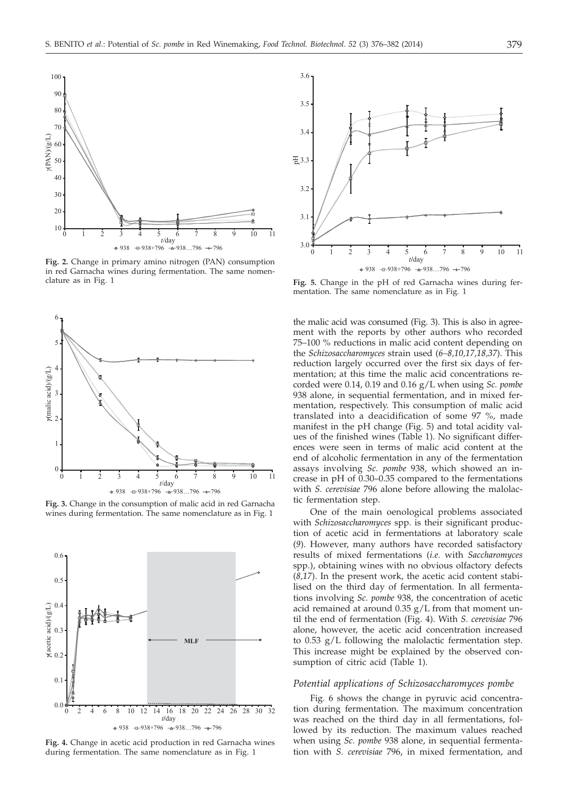

**Fig. 2.** Change in primary amino nitrogen (PAN) consumption in red Garnacha wines during fermentation. The same nomenclature as in Fig. 1



**Fig. 3.** Change in the consumption of malic acid in red Garnacha wines during fermentation. The same nomenclature as in Fig. 1



**Fig. 4.** Change in acetic acid production in red Garnacha wines during fermentation. The same nomenclature as in Fig. 1



**Fig. 5.** Change in the pH of red Garnacha wines during fermentation. The same nomenclature as in Fig. 1

the malic acid was consumed (Fig. 3). This is also in agreement with the reports by other authors who recorded 75–100 % reductions in malic acid content depending on the *Schizosaccharomyces* strain used (*6–8,10,17,18,37*). This reduction largely occurred over the first six days of fermentation; at this time the malic acid concentrations recorded were 0.14, 0.19 and 0.16 g/L when using *Sc. pombe* 938 alone, in sequential fermentation, and in mixed fermentation, respectively. This consumption of malic acid translated into a deacidification of some 97 %, made manifest in the pH change (Fig. 5) and total acidity values of the finished wines (Table 1). No significant differences were seen in terms of malic acid content at the end of alcoholic fermentation in any of the fermentation assays involving *Sc. pombe* 938, which showed an increase in pH of 0.30–0.35 compared to the fermentations with *S. cerevisiae* 796 alone before allowing the malolactic fermentation step.

One of the main oenological problems associated with *Schizosaccharomyces* spp. is their significant production of acetic acid in fermentations at laboratory scale (*9*). However, many authors have recorded satisfactory results of mixed fermentations (*i.e.* with *Saccharomyces* spp.), obtaining wines with no obvious olfactory defects (*8,17*). In the present work, the acetic acid content stabilised on the third day of fermentation. In all fermentations involving *Sc. pombe* 938, the concentration of acetic acid remained at around  $0.35$  g/L from that moment until the end of fermentation (Fig. 4). With *S. cerevisiae* 796 alone, however, the acetic acid concentration increased to 0.53 g/L following the malolactic fermentation step. This increase might be explained by the observed consumption of citric acid (Table 1).

## *Potential applications of Schizosaccharomyces pombe*

Fig*.* 6 shows the change in pyruvic acid concentration during fermentation. The maximum concentration was reached on the third day in all fermentations, followed by its reduction. The maximum values reached when using *Sc. pombe* 938 alone, in sequential fermentation with *S. cerevisiae* 796, in mixed fermentation, and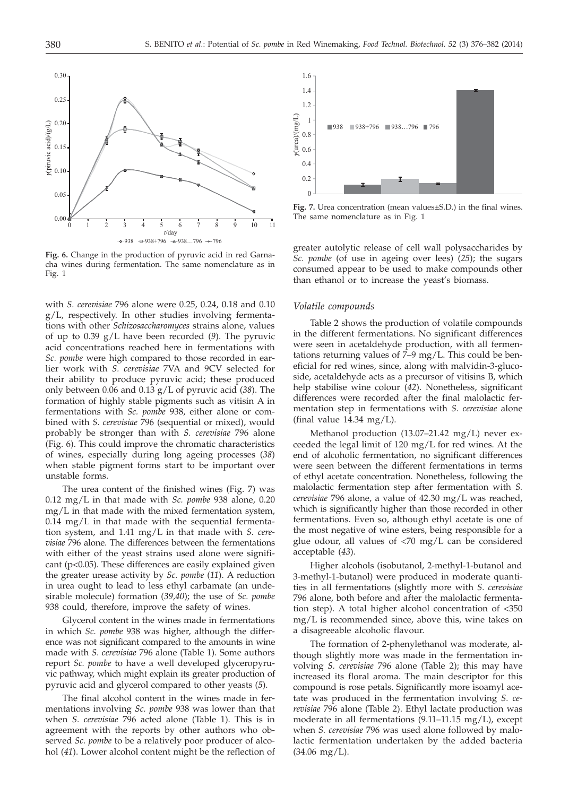

**Fig. 6.** Change in the production of pyruvic acid in red Garnacha wines during fermentation. The same nomenclature as in Fig. 1

with *S. cerevisiae* 796 alone were 0.25, 0.24, 0.18 and 0.10 g/L, respectively. In other studies involving fermentations with other *Schizosaccharomyces* strains alone, values of up to 0.39 g/L have been recorded (*9*). The pyruvic acid concentrations reached here in fermentations with *Sc. pombe* were high compared to those recorded in earlier work with *S. cerevisiae* 7VA and 9CV selected for their ability to produce pyruvic acid; these produced only between 0.06 and 0.13 g/L of pyruvic acid (*38*). The formation of highly stable pigments such as vitisin A in fermentations with *Sc. pombe* 938, either alone or combined with *S. cerevisiae* 796 (sequential or mixed), would probably be stronger than with *S. cerevisiae* 796 alone (Fig. 6). This could improve the chromatic characteristics of wines, especially during long ageing processes (*38*) when stable pigment forms start to be important over unstable forms.

The urea content of the finished wines (Fig. 7) was 0.12 mg/L in that made with *Sc. pombe* 938 alone, 0.20 mg/L in that made with the mixed fermentation system,  $0.14 \, \text{mg/L}$  in that made with the sequential fermentation system, and 1.41 mg/L in that made with *S. cerevisiae* 796 alone. The differences between the fermentations with either of the yeast strains used alone were significant ( $p<0.05$ ). These differences are easily explained given the greater urease activity by *Sc. pombe* (*11*). A reduction in urea ought to lead to less ethyl carbamate (an undesirable molecule) formation (*39,40*); the use of *Sc. pombe* 938 could, therefore, improve the safety of wines.

Glycerol content in the wines made in fermentations in which *Sc. pombe* 938 was higher, although the difference was not significant compared to the amounts in wine made with *S. cerevisiae* 796 alone (Table 1). Some authors report *Sc. pombe* to have a well developed glyceropyruvic pathway, which might explain its greater production of pyruvic acid and glycerol compared to other yeasts (*5*).

The final alcohol content in the wines made in fermentations involving *Sc. pombe* 938 was lower than that when *S. cerevisiae* 796 acted alone (Table 1). This is in agreement with the reports by other authors who observed *Sc. pombe* to be a relatively poor producer of alcohol (*41*). Lower alcohol content might be the reflection of



**Fig. 7.** Urea concentration (mean values±S.D.) in the final wines. The same nomenclature as in Fig. 1

greater autolytic release of cell wall polysaccharides by *Sc. pombe* (of use in ageing over lees) (*25*); the sugars consumed appear to be used to make compounds other than ethanol or to increase the yeast's biomass.

#### *Volatile compounds*

Table 2 shows the production of volatile compounds in the different fermentations. No significant differences were seen in acetaldehyde production, with all fermentations returning values of 7–9 mg/L. This could be beneficial for red wines, since, along with malvidin-3-glucoside, acetaldehyde acts as a precursor of vitisins B, which help stabilise wine colour (*42*). Nonetheless, significant differences were recorded after the final malolactic fermentation step in fermentations with *S. cerevisiae* alone (final value  $14.34 \text{ mg/L}$ ).

Methanol production (13.07–21.42 mg/L) never exceeded the legal limit of 120 mg/L for red wines. At the end of alcoholic fermentation, no significant differences were seen between the different fermentations in terms of ethyl acetate concentration. Nonetheless, following the malolactic fermentation step after fermentation with *S. cerevisiae* 796 alone, a value of 42.30 mg/L was reached, which is significantly higher than those recorded in other fermentations. Even so, although ethyl acetate is one of the most negative of wine esters, being responsible for a glue odour, all values of <70 mg/L can be considered acceptable (*43*).

Higher alcohols (isobutanol, 2-methyl-1-butanol and 3-methyl-1-butanol) were produced in moderate quantities in all fermentations (slightly more with *S. cerevisiae* 796 alone, both before and after the malolactic fermentation step). A total higher alcohol concentration of <350 mg/L is recommended since, above this, wine takes on a disagreeable alcoholic flavour.

The formation of 2-phenylethanol was moderate, although slightly more was made in the fermentation involving *S. cerevisiae* 796 alone (Table 2); this may have increased its floral aroma. The main descriptor for this compound is rose petals. Significantly more isoamyl acetate was produced in the fermentation involving *S. cerevisiae* 796 alone (Table 2). Ethyl lactate production was moderate in all fermentations (9.11–11.15 mg/L), except when *S. cerevisiae* 796 was used alone followed by malolactic fermentation undertaken by the added bacteria  $(34.06 \text{ mg/L}).$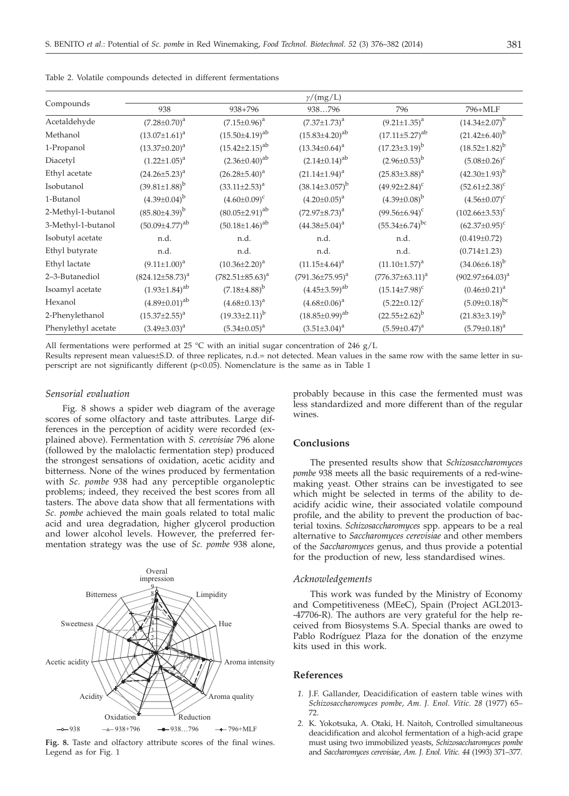|                     | $\gamma/(mg/L)$         |                         |                          |                         |                        |  |  |  |  |  |
|---------------------|-------------------------|-------------------------|--------------------------|-------------------------|------------------------|--|--|--|--|--|
| Compounds           | 938                     | 938+796                 | 938796                   | 796                     | 796+MLF                |  |  |  |  |  |
| Acetaldehyde        | $(7.28 \pm 0.70)^a$     | $(7.15 \pm 0.96)^a$     | $(7.37 \pm 1.73)^a$      | $(9.21 \pm 1.35)^a$     | $(14.34\pm2.07)^{b}$   |  |  |  |  |  |
| Methanol            | $(13.07 \pm 1.61)^a$    | $(15.50 \pm 4.19)^{ab}$ | $(15.83 \pm 4.20)^{ab}$  | $(17.11\pm5.27)^{ab}$   | $(21.42\pm6.40)^b$     |  |  |  |  |  |
| 1-Propanol          | $(13.37 \pm 0.20)^a$    | $(15.42 \pm 2.15)^{ab}$ | $(13.34 \pm 0.64)^a$     | $(17.23 \pm 3.19)^b$    | $(18.52 \pm 1.82)^{b}$ |  |  |  |  |  |
| Diacetyl            | $(1.22 \pm 1.05)^a$     | $(2.36\pm0.40)^{ab}$    | $(2.14\pm0.14)^{ab}$     | $(2.96 \pm 0.53)^{b}$   | $(5.08 \pm 0.26)^c$    |  |  |  |  |  |
| Ethyl acetate       | $(24.26 \pm 5.23)^a$    | $(26.28 \pm 5.40)^a$    | $(21.14 \pm 1.94)^a$     | $(25.83\pm3.88)^a$      | $(42.30\pm1.93)^{b}$   |  |  |  |  |  |
| Isobutanol          | $(39.81 \pm 1.88)^{b}$  | $(33.11 \pm 2.53)^a$    | $(38.14\pm3.057)^b$      | $(49.92 \pm 2.84)^c$    | $(52.61 \pm 2.38)^c$   |  |  |  |  |  |
| 1-Butanol           | $(4.39\pm0.04)^{b}$     | $(4.60\pm0.09)^c$       | $(4.20 \pm 0.05)^a$      | $(4.39\pm0.08)^{b}$     | $(4.56 \pm 0.07)^c$    |  |  |  |  |  |
| 2-Methyl-1-butanol  | $(85.80\pm4.39)^b$      | $(80.05 \pm 2.91)^{ab}$ | $(72.97 \pm 8.73)^a$     | $(99.56 \pm 6.94)^c$    | $(102.66\pm3.53)^c$    |  |  |  |  |  |
| 3-Methyl-1-butanol  | $(50.09 \pm 4.77)^{ab}$ | $(50.18 \pm 1.46)^{ab}$ | $(44.38\pm5.04)^a$       | $(55.34 \pm 6.74)^{bc}$ | $(62.37 \pm 0.95)^c$   |  |  |  |  |  |
| Isobutyl acetate    | n.d.                    | n.d.                    | n.d.                     | n.d.                    | $(0.419 \pm 0.72)$     |  |  |  |  |  |
| Ethyl butyrate      | n.d.                    | n.d.                    | n.d.                     | n.d.                    | $(0.714 \pm 1.23)$     |  |  |  |  |  |
| Ethyl lactate       | $(9.11 \pm 1.00)^a$     | $(10.36 \pm 2.20)^a$    | $(11.15 \pm 4.64)^a$     | $(11.10 \pm 1.57)^a$    | $(34.06\pm6.18)^b$     |  |  |  |  |  |
| 2-3-Butanediol      | $(824.12 \pm 58.73)^a$  | $(782.51 \pm 85.63)^a$  | $(791.36 \pm 75.95)^{a}$ | $(776.37\pm63.11)^a$    | $(902.97 \pm 64.03)^a$ |  |  |  |  |  |
| Isoamyl acetate     | $(1.93 \pm 1.84)^{ab}$  | $(7.18\pm4.88)^{b}$     | $(4.45\pm3.59)^{ab}$     | $(15.14 \pm 7.98)^c$    | $(0.46 \pm 0.21)^a$    |  |  |  |  |  |
| Hexanol             | $(4.89 \pm 0.01)^{ab}$  | $(4.68 \pm 0.13)^a$     | $(4.68 \pm 0.06)^a$      | $(5.22 \pm 0.12)^c$     | $(5.09 \pm 0.18)^{bc}$ |  |  |  |  |  |
| 2-Phenylethanol     | $(15.37 \pm 2.55)^a$    | $(19.33\pm2.11)^{b}$    | $(18.85\pm0.99)^{ab}$    | $(22.55 \pm 2.62)^b$    | $(21.83\pm3.19)^{b}$   |  |  |  |  |  |
| Phenylethyl acetate | $(3.49 \pm 3.03)^a$     | $(5.34 \pm 0.05)^a$     | $(3.51 \pm 3.04)^a$      | $(5.59 \pm 0.47)^a$     | $(5.79 \pm 0.18)^a$    |  |  |  |  |  |

Table 2. Volatile compounds detected in different fermentations

All fermentations were performed at 25 °C with an initial sugar concentration of 246  $g/L$ 

Results represent mean values±S.D. of three replicates, n.d.= not detected. Mean values in the same row with the same letter in superscript are not significantly different (p<0.05). Nomenclature is the same as in Table 1

## *Sensorial evaluation*

Fig*.* 8 shows a spider web diagram of the average scores of some olfactory and taste attributes. Large differences in the perception of acidity were recorded (explained above). Fermentation with *S. cerevisiae* 796 alone (followed by the malolactic fermentation step) produced the strongest sensations of oxidation, acetic acidity and bitterness. None of the wines produced by fermentation with *Sc. pombe* 938 had any perceptible organoleptic problems; indeed, they received the best scores from all tasters. The above data show that all fermentations with *Sc. pombe* achieved the main goals related to total malic acid and urea degradation, higher glycerol production and lower alcohol levels. However, the preferred fermentation strategy was the use of *Sc. pombe* 938 alone,



**Fig. 8.** Taste and olfactory attribute scores of the final wines. Legend as for Fig. 1

probably because in this case the fermented must was less standardized and more different than of the regular wines.

## **Conclusions**

The presented results show that *Schizosaccharomyces pombe* 938 meets all the basic requirements of a red-winemaking yeast. Other strains can be investigated to see which might be selected in terms of the ability to deacidify acidic wine, their associated volatile compound profile, and the ability to prevent the production of bacterial toxins. *Schizosaccharomyces* spp. appears to be a real alternative to *Saccharomyces cerevisiae* and other members of the *Saccharomyces* genus, and thus provide a potential for the production of new, less standardised wines.

## *Acknowledgements*

This work was funded by the Ministry of Economy and Competitiveness (MEeC), Spain (Project AGL2013- -47706-R). The authors are very grateful for the help received from Biosystems S.A. Special thanks are owed to Pablo Rodríguez Plaza for the donation of the enzyme kits used in this work.

## **References**

- *1.* J.F. Gallander, Deacidification of eastern table wines with *Schizosaccharomyces pombe*, *Am. J. Enol. Vitic. 28* (1977) 65– 72.
- *2.* K. Yokotsuka, A. Otaki, H. Naitoh, Controlled simultaneous deacidification and alcohol fermentation of a high-acid grape must using two immobilized yeasts, *Schizosaccharomyces pombe* and *Saccharomyces cerevisiae*, *Am. J. Enol. Vitic. 44* (1993) 371–377.